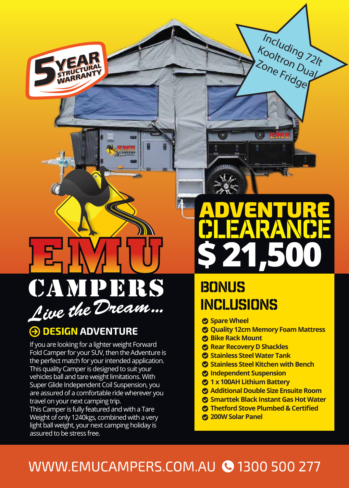

#### **A DESIGN ADVENTURE**

If you are looking for a lighter weight Forward Fold Camper for your SUV, then the Adventure is the perfect match for your intended application. This quality Camper is designed to suit your vehicles ball and tare weight limitations. With Super Glide Independent Coil Suspension, you are assured of a comfortable ride wherever you travel on your next camping trip.

This Camper is fully featured and with a Tare Weight of only 1240kgs, combined with a very light ball weight, your next camping holiday is assured to be stress free.

## **\$ 21,500** clearance

Including 72lt

Kooltron Dual<br>Zone Fried Ual

Zone Fridge

## **BONUS** inclusions

- **Spare Wheel**
- **Quality 12cm Memory Foam Mattress**
- **Bike Rack Mount**
- **Rear Recovery D Shackles**
- **Stainless Steel Water Tank**
- **Stainless Steel Kitchen with Bench**
- **Independent Suspension**
- **1 x 100AH Lithium Battery**
- **Additional Double Size Ensuite Room**
- **Smarttek Black Instant Gas Hot Water**
- **Thetford Stove Plumbed & Certified**
- **200W Solar Panel**

### WWW.EMUCAMPERS.COM.AU @ 1300 500 277